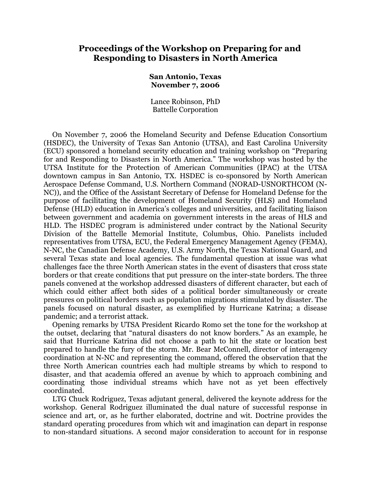# **Proceedings of the Workshop on Preparing for and Responding to Disasters in North America**

### **San Antonio, Texas November 7, 2006**

Lance Robinson, PhD Battelle Corporation

On November 7, 2006 the Homeland Security and Defense Education Consortium (HSDEC), the University of Texas San Antonio (UTSA), and East Carolina University (ECU) sponsored a homeland security education and training workshop on "Preparing for and Responding to Disasters in North America." The workshop was hosted by the UTSA Institute for the Protection of American Communities (IPAC) at the UTSA downtown campus in San Antonio, TX. HSDEC is co-sponsored by North American Aerospace Defense Command, U.S. Northern Command (NORAD-USNORTHCOM (N-NC)), and the Office of the Assistant Secretary of Defense for Homeland Defense for the purpose of facilitating the development of Homeland Security (HLS) and Homeland Defense (HLD) education in America's colleges and universities, and facilitating liaison between government and academia on government interests in the areas of HLS and HLD. The HSDEC program is administered under contract by the National Security Division of the Battelle Memorial Institute, Columbus, Ohio. Panelists included representatives from UTSA, ECU, the Federal Emergency Management Agency (FEMA), N-NC, the Canadian Defense Academy, U.S. Army North, the Texas National Guard, and several Texas state and local agencies. The fundamental question at issue was what challenges face the three North American states in the event of disasters that cross state borders or that create conditions that put pressure on the inter-state borders. The three panels convened at the workshop addressed disasters of different character, but each of which could either affect both sides of a political border simultaneously or create pressures on political borders such as population migrations stimulated by disaster. The panels focused on natural disaster, as exemplified by Hurricane Katrina; a disease pandemic; and a terrorist attack.

Opening remarks by UTSA President Ricardo Romo set the tone for the workshop at the outset, declaring that "natural disasters do not know borders." As an example, he said that Hurricane Katrina did not choose a path to hit the state or location best prepared to handle the fury of the storm. Mr. Bear McConnell, director of interagency coordination at N-NC and representing the command, offered the observation that the three North American countries each had multiple streams by which to respond to disaster, and that academia offered an avenue by which to approach combining and coordinating those individual streams which have not as yet been effectively coordinated.

LTG Chuck Rodriguez, Texas adjutant general, delivered the keynote address for the workshop. General Rodriguez illuminated the dual nature of successful response in science and art, or, as he further elaborated, doctrine and wit. Doctrine provides the standard operating procedures from which wit and imagination can depart in response to non-standard situations. A second major consideration to account for in response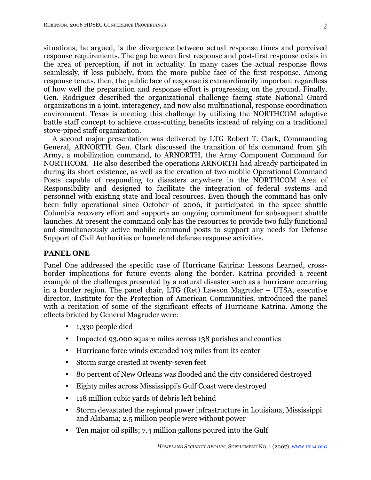situations, he argued, is the divergence between actual response times and perceived response requirements. The gap between first response and post-first response exists in the area of perception, if not in actuality. In many cases the actual response flows seamlessly, if less publicly, from the more public face of the first response. Among response tenets, then, the public face of response is extraordinarily important regardless of how well the preparation and response effort is progressing on the ground. Finally, Gen. Rodriguez described the organizational challenge facing state National Guard organizations in a joint, interagency, and now also multinational, response coordination environment. Texas is meeting this challenge by utilizing the NORTHCOM adaptive battle staff concept to achieve cross-cutting benefits instead of relying on a traditional stove-piped staff organization.

A second major presentation was delivered by LTG Robert T. Clark, Commanding General, ARNORTH. Gen. Clark discussed the transition of his command from 5th Army, a mobilization command, to ARNORTH, the Army Component Command for NORTHCOM. He also described the operations ARNORTH had already participated in during its short existence, as well as the creation of two mobile Operational Command Posts capable of responding to disasters anywhere in the NORTHCOM Area of Responsibility and designed to facilitate the integration of federal systems and personnel with existing state and local resources. Even though the command has only been fully operational since October of 2006, it participated in the space shuttle Columbia recovery effort and supports an ongoing commitment for subsequent shuttle launches. At present the command only has the resources to provide two fully functional and simultaneously active mobile command posts to support any needs for Defense Support of Civil Authorities or homeland defense response activities.

## **PANEL ONE**

Panel One addressed the specific case of Hurricane Katrina: Lessons Learned, crossborder implications for future events along the border. Katrina provided a recent example of the challenges presented by a natural disaster such as a hurricane occurring in a border region. The panel chair, LTG (Ret) Lawson Magruder – UTSA, executive director, Institute for the Protection of American Communities, introduced the panel with a recitation of some of the significant effects of Hurricane Katrina. Among the effects briefed by General Magruder were:

- 1,330 people died
- Impacted 93,000 square miles across 138 parishes and counties
- Hurricane force winds extended 103 miles from its center
- Storm surge crested at twenty-seven feet
- 80 percent of New Orleans was flooded and the city considered destroyed
- Eighty miles across Mississippi's Gulf Coast were destroyed
- 118 million cubic yards of debris left behind
- Storm devastated the regional power infrastructure in Louisiana, Mississippi and Alabama; 2.5 million people were without power
- Ten major oil spills; 7.4 million gallons poured into the Gulf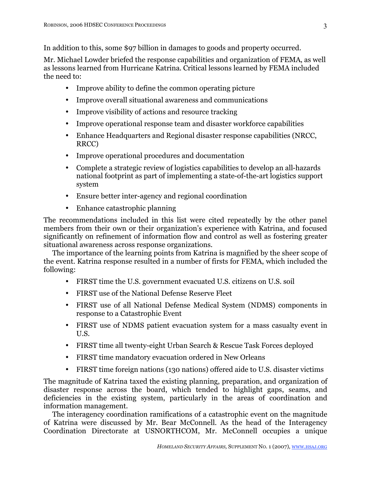In addition to this, some \$97 billion in damages to goods and property occurred.

Mr. Michael Lowder briefed the response capabilities and organization of FEMA, as well as lessons learned from Hurricane Katrina. Critical lessons learned by FEMA included the need to:

- Improve ability to define the common operating picture
- Improve overall situational awareness and communications
- Improve visibility of actions and resource tracking
- Improve operational response team and disaster workforce capabilities
- Enhance Headquarters and Regional disaster response capabilities (NRCC, RRCC)
- Improve operational procedures and documentation
- Complete a strategic review of logistics capabilities to develop an all-hazards national footprint as part of implementing a state-of-the-art logistics support system
- Ensure better inter-agency and regional coordination
- Enhance catastrophic planning

The recommendations included in this list were cited repeatedly by the other panel members from their own or their organization's experience with Katrina, and focused significantly on refinement of information flow and control as well as fostering greater situational awareness across response organizations.

The importance of the learning points from Katrina is magnified by the sheer scope of the event. Katrina response resulted in a number of firsts for FEMA, which included the following:

- FIRST time the U.S. government evacuated U.S. citizens on U.S. soil
- FIRST use of the National Defense Reserve Fleet
- FIRST use of all National Defense Medical System (NDMS) components in response to a Catastrophic Event
- FIRST use of NDMS patient evacuation system for a mass casualty event in U.S.
- FIRST time all twenty-eight Urban Search & Rescue Task Forces deployed
- FIRST time mandatory evacuation ordered in New Orleans
- FIRST time foreign nations (130 nations) offered aide to U.S. disaster victims

The magnitude of Katrina taxed the existing planning, preparation, and organization of disaster response across the board, which tended to highlight gaps, seams, and deficiencies in the existing system, particularly in the areas of coordination and information management.

The interagency coordination ramifications of a catastrophic event on the magnitude of Katrina were discussed by Mr. Bear McConnell. As the head of the Interagency Coordination Directorate at USNORTHCOM, Mr. McConnell occupies a unique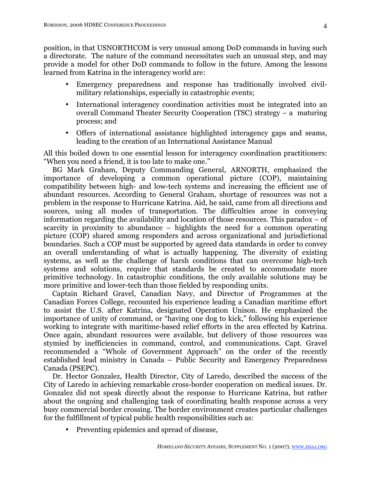position, in that USNORTHCOM is very unusual among DoD commands in having such a directorate. The nature of the command necessitates such an unusual step, and may provide a model for other DoD commands to follow in the future. Among the lessons learned from Katrina in the interagency world are:

- Emergency preparedness and response has traditionally involved civilmilitary relationships, especially in catastrophic events;
- International interagency coordination activities must be integrated into an overall Command Theater Security Cooperation (TSC) strategy – a maturing process; and
- Offers of international assistance highlighted interagency gaps and seams, leading to the creation of an International Assistance Manual

All this boiled down to one essential lesson for interagency coordination practitioners: "When you need a friend, it is too late to make one."

BG Mark Graham, Deputy Commanding General, ARNORTH, emphasized the importance of developing a common operational picture (COP), maintaining compatibility between high- and low-tech systems and increasing the efficient use of abundant resources. According to General Graham, shortage of resources was not a problem in the response to Hurricane Katrina. Aid, he said, came from all directions and sources, using all modes of transportation. The difficulties arose in conveying information regarding the availability and location of those resources. This paradox – of scarcity in proximity to abundance – highlights the need for a common operating picture (COP) shared among responders and across organizational and jurisdictional boundaries. Such a COP must be supported by agreed data standards in order to convey an overall understanding of what is actually happening. The diversity of existing systems, as well as the challenge of harsh conditions that can overcome high-tech systems and solutions, require that standards be created to accommodate more primitive technology. In catastrophic conditions, the only available solutions may be more primitive and lower-tech than those fielded by responding units.

Captain Richard Gravel, Canadian Navy, and Director of Programmes at the Canadian Forces College, recounted his experience leading a Canadian maritime effort to assist the U.S. after Katrina, designated Operation Unison. He emphasized the importance of unity of command, or "having one dog to kick," following his experience working to integrate with maritime-based relief efforts in the area effected by Katrina. Once again, abundant resources were available, but delivery of those resources was stymied by inefficiencies in command, control, and communications. Capt. Gravel recommended a "Whole of Government Approach" on the order of the recently established lead ministry in Canada – Public Security and Emergency Preparedness Canada (PSEPC).

Dr. Hector Gonzalez, Health Director, City of Laredo, described the success of the City of Laredo in achieving remarkable cross-border cooperation on medical issues. Dr. Gonzalez did not speak directly about the response to Hurricane Katrina, but rather about the ongoing and challenging task of coordinating health response across a very busy commercial border crossing. The border environment creates particular challenges for the fulfillment of typical public health responsibilities such as:

• Preventing epidemics and spread of disease,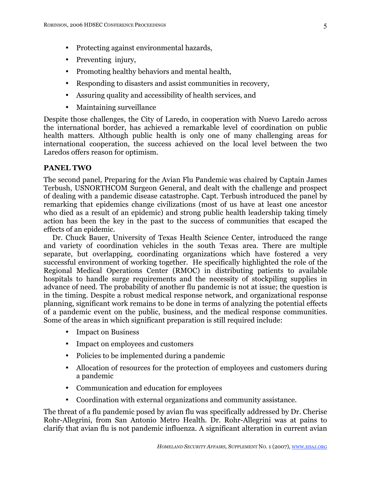- Protecting against environmental hazards,
- Preventing injury,
- Promoting healthy behaviors and mental health,
- Responding to disasters and assist communities in recovery,
- Assuring quality and accessibility of health services, and
- Maintaining surveillance

Despite those challenges, the City of Laredo, in cooperation with Nuevo Laredo across the international border, has achieved a remarkable level of coordination on public health matters. Although public health is only one of many challenging areas for international cooperation, the success achieved on the local level between the two Laredos offers reason for optimism.

## **PANEL TWO**

The second panel, Preparing for the Avian Flu Pandemic was chaired by Captain James Terbush, USNORTHCOM Surgeon General, and dealt with the challenge and prospect of dealing with a pandemic disease catastrophe. Capt. Terbush introduced the panel by remarking that epidemics change civilizations (most of us have at least one ancestor who died as a result of an epidemic) and strong public health leadership taking timely action has been the key in the past to the success of communities that escaped the effects of an epidemic.

Dr. Chuck Bauer, University of Texas Health Science Center, introduced the range and variety of coordination vehicles in the south Texas area. There are multiple separate, but overlapping, coordinating organizations which have fostered a very successful environment of working together. He specifically highlighted the role of the Regional Medical Operations Center (RMOC) in distributing patients to available hospitals to handle surge requirements and the necessity of stockpiling supplies in advance of need. The probability of another flu pandemic is not at issue; the question is in the timing. Despite a robust medical response network, and organizational response planning, significant work remains to be done in terms of analyzing the potential effects of a pandemic event on the public, business, and the medical response communities. Some of the areas in which significant preparation is still required include:

- Impact on Business
- Impact on employees and customers
- Policies to be implemented during a pandemic
- Allocation of resources for the protection of employees and customers during a pandemic
- Communication and education for employees
- Coordination with external organizations and community assistance.

The threat of a flu pandemic posed by avian flu was specifically addressed by Dr. Cherise Rohr-Allegrini, from San Antonio Metro Health. Dr. Rohr-Allegrini was at pains to clarify that avian flu is not pandemic influenza. A significant alteration in current avian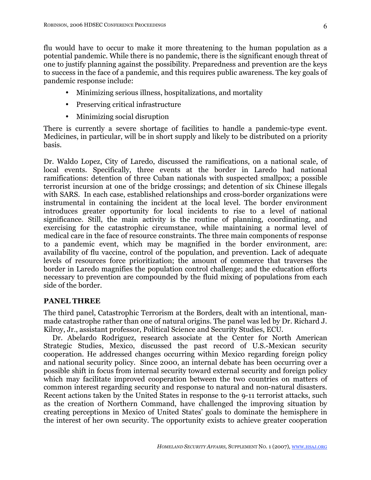flu would have to occur to make it more threatening to the human population as a potential pandemic. While there is no pandemic, there is the significant enough threat of one to justify planning against the possibility. Preparedness and prevention are the keys to success in the face of a pandemic, and this requires public awareness. The key goals of pandemic response include:

- Minimizing serious illness, hospitalizations, and mortality
- Preserving critical infrastructure
- Minimizing social disruption

There is currently a severe shortage of facilities to handle a pandemic-type event. Medicines, in particular, will be in short supply and likely to be distributed on a priority basis.

Dr. Waldo Lopez, City of Laredo, discussed the ramifications, on a national scale, of local events. Specifically, three events at the border in Laredo had national ramifications: detention of three Cuban nationals with suspected smallpox; a possible terrorist incursion at one of the bridge crossings; and detention of six Chinese illegals with SARS. In each case, established relationships and cross-border organizations were instrumental in containing the incident at the local level. The border environment introduces greater opportunity for local incidents to rise to a level of national significance. Still, the main activity is the routine of planning, coordinating, and exercising for the catastrophic circumstance, while maintaining a normal level of medical care in the face of resource constraints. The three main components of response to a pandemic event, which may be magnified in the border environment, are: availability of flu vaccine, control of the population, and prevention. Lack of adequate levels of resources force prioritization; the amount of commerce that traverses the border in Laredo magnifies the population control challenge; and the education efforts necessary to prevention are compounded by the fluid mixing of populations from each side of the border.

## **PANEL THREE**

The third panel, Catastrophic Terrorism at the Borders, dealt with an intentional, manmade catastrophe rather than one of natural origins. The panel was led by Dr. Richard J. Kilroy, Jr., assistant professor, Political Science and Security Studies, ECU.

Dr. Abelardo Rodriguez, research associate at the Center for North American Strategic Studies, Mexico, discussed the past record of U.S.-Mexican security cooperation. He addressed changes occurring within Mexico regarding foreign policy and national security policy. Since 2000, an internal debate has been occurring over a possible shift in focus from internal security toward external security and foreign policy which may facilitate improved cooperation between the two countries on matters of common interest regarding security and response to natural and non-natural disasters. Recent actions taken by the United States in response to the 9-11 terrorist attacks, such as the creation of Northern Command, have challenged the improving situation by creating perceptions in Mexico of United States' goals to dominate the hemisphere in the interest of her own security. The opportunity exists to achieve greater cooperation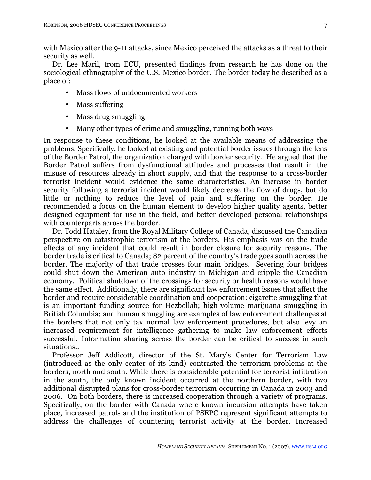with Mexico after the 9-11 attacks, since Mexico perceived the attacks as a threat to their security as well.

Dr. Lee Maril, from ECU, presented findings from research he has done on the sociological ethnography of the U.S.-Mexico border. The border today he described as a place of:

- Mass flows of undocumented workers
- Mass suffering
- Mass drug smuggling
- Many other types of crime and smuggling, running both ways

In response to these conditions, he looked at the available means of addressing the problems. Specifically, he looked at existing and potential border issues through the lens of the Border Patrol, the organization charged with border security. He argued that the Border Patrol suffers from dysfunctional attitudes and processes that result in the misuse of resources already in short supply, and that the response to a cross-border terrorist incident would evidence the same characteristics. An increase in border security following a terrorist incident would likely decrease the flow of drugs, but do little or nothing to reduce the level of pain and suffering on the border. He recommended a focus on the human element to develop higher quality agents, better designed equipment for use in the field, and better developed personal relationships with counterparts across the border.

Dr. Todd Hataley, from the Royal Military College of Canada, discussed the Canadian perspective on catastrophic terrorism at the borders. His emphasis was on the trade effects of any incident that could result in border closure for security reasons. The border trade is critical to Canada; 82 percent of the country's trade goes south across the border. The majority of that trade crosses four main bridges. Severing four bridges could shut down the American auto industry in Michigan and cripple the Canadian economy. Political shutdown of the crossings for security or health reasons would have the same effect. Additionally, there are significant law enforcement issues that affect the border and require considerable coordination and cooperation: cigarette smuggling that is an important funding source for Hezbollah; high-volume marijuana smuggling in British Columbia; and human smuggling are examples of law enforcement challenges at the borders that not only tax normal law enforcement procedures, but also levy an increased requirement for intelligence gathering to make law enforcement efforts successful. Information sharing across the border can be critical to success in such situations..

Professor Jeff Addicott, director of the St. Mary's Center for Terrorism Law (introduced as the only center of its kind) contrasted the terrorism problems at the borders, north and south. While there is considerable potential for terrorist infiltration in the south, the only known incident occurred at the northern border, with two additional disrupted plans for cross-border terrorism occurring in Canada in 2003 and 2006. On both borders, there is increased cooperation through a variety of programs. Specifically, on the border with Canada where known incursion attempts have taken place, increased patrols and the institution of PSEPC represent significant attempts to address the challenges of countering terrorist activity at the border. Increased